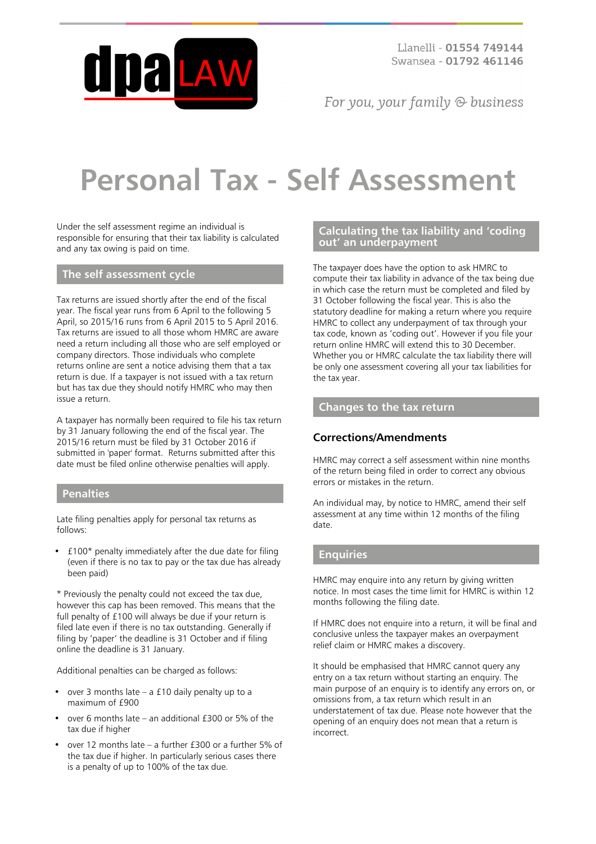

Llanelli - 01554 749144 Swansea - 01792 461146

For you, your family  $\odot$  business

# **Personal Tax - Self Assessment**

Under the self assessment regime an individual is responsible for ensuring that their tax liability is calculated and any tax owing is paid on time.

# **The self assessment cycle**

Tax returns are issued shortly after the end of the fiscal year. The fiscal year runs from 6 April to the following 5 April, so 2015/16 runs from 6 April 2015 to 5 April 2016. Tax returns are issued to all those whom HMRC are aware need a return including all those who are self employed or company directors. Those individuals who complete returns online are sent a notice advising them that a tax return is due. If a taxpayer is not issued with a tax return but has tax due they should notify HMRC who may then issue a return.

A taxpayer has normally been required to file his tax return by 31 January following the end of the fiscal year. The 2015/16 return must be filed by 31 October 2016 if submitted in 'paper' format. Returns submitted after this date must be filed online otherwise penalties will apply.

#### **Penalties**

Late filing penalties apply for personal tax returns as follows:

• £100\* penalty immediately after the due date for filing (even if there is no tax to pay or the tax due has already been paid)

\* Previously the penalty could not exceed the tax due, however this cap has been removed. This means that the full penalty of £100 will always be due if your return is filed late even if there is no tax outstanding. Generally if filing by 'paper' the deadline is 31 October and if filing online the deadline is 31 January.

Additional penalties can be charged as follows:

- over 3 months late  $-$  a £10 daily penalty up to a maximum of £900
- over 6 months late an additional £300 or 5% of the tax due if higher
- over 12 months late a further £300 or a further 5% of the tax due if higher. In particularly serious cases there is a penalty of up to 100% of the tax due.

## **Calculating the tax liability and 'coding out' an underpayment**

The taxpayer does have the option to ask HMRC to compute their tax liability in advance of the tax being due in which case the return must be completed and filed by 31 October following the fiscal year. This is also the statutory deadline for making a return where you require HMRC to collect any underpayment of tax through your tax code, known as 'coding out'. However if you file your return online HMRC will extend this to 30 December. Whether you or HMRC calculate the tax liability there will be only one assessment covering all your tax liabilities for the tax year.

# **Changes to the tax return**

## **Corrections/Amendments**

HMRC may correct a self assessment within nine months of the return being filed in order to correct any obvious errors or mistakes in the return.

An individual may, by notice to HMRC, amend their self assessment at any time within 12 months of the filing date.

#### **Enquiries**

HMRC may enquire into any return by giving written notice. In most cases the time limit for HMRC is within 12 months following the filing date.

If HMRC does not enquire into a return, it will be final and conclusive unless the taxpayer makes an overpayment relief claim or HMRC makes a discovery.

It should be emphasised that HMRC cannot query any entry on a tax return without starting an enquiry. The main purpose of an enquiry is to identify any errors on, or omissions from, a tax return which result in an understatement of tax due. Please note however that the opening of an enquiry does not mean that a return is incorrect.